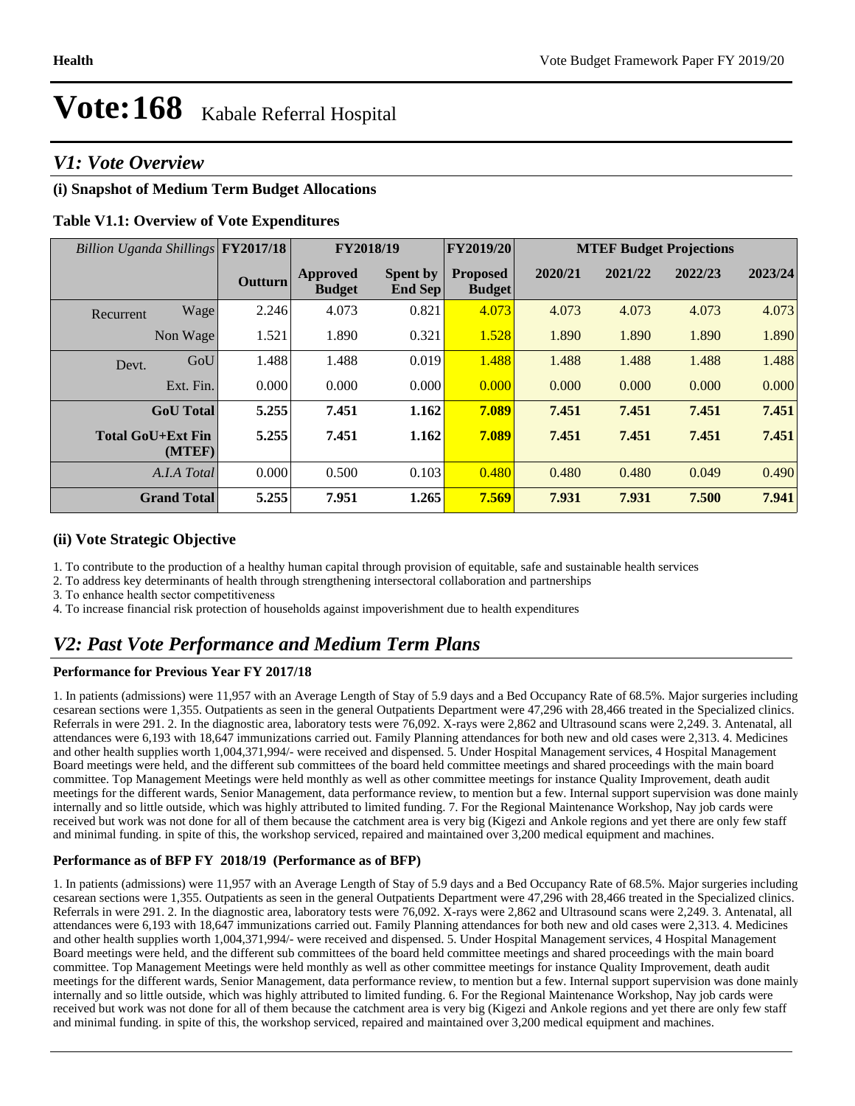#### *V1: Vote Overview*

#### **(i) Snapshot of Medium Term Budget Allocations**

#### **Table V1.1: Overview of Vote Expenditures**

| Billion Uganda Shillings FY2017/18 |                    |                | FY2018/19                        |                            | <b>FY2019/20</b>                 | <b>MTEF Budget Projections</b> |         |         |         |
|------------------------------------|--------------------|----------------|----------------------------------|----------------------------|----------------------------------|--------------------------------|---------|---------|---------|
|                                    |                    | <b>Outturn</b> | <b>Approved</b><br><b>Budget</b> | <b>Spent by</b><br>End Sep | <b>Proposed</b><br><b>Budget</b> | 2020/21                        | 2021/22 | 2022/23 | 2023/24 |
| Recurrent                          | Wage               | 2.246          | 4.073                            | 0.821                      | 4.073                            | 4.073                          | 4.073   | 4.073   | 4.073   |
|                                    | Non Wage           | 1.521          | 1.890                            | 0.321                      | 1.528                            | 1.890                          | 1.890   | 1.890   | 1.890   |
| Devt.                              | GoU                | 1.488          | 1.488                            | 0.019                      | 1.488                            | 1.488                          | 1.488   | 1.488   | 1.488   |
|                                    | Ext. Fin.          | 0.000          | 0.000                            | 0.000                      | 0.000                            | 0.000                          | 0.000   | 0.000   | 0.000   |
|                                    | <b>GoU</b> Total   | 5.255          | 7.451                            | 1.162                      | 7.089                            | 7.451                          | 7.451   | 7.451   | 7.451   |
| <b>Total GoU+Ext Fin</b>           | (MTEF)             | 5.255          | 7.451                            | 1.162                      | 7.089                            | 7.451                          | 7.451   | 7.451   | 7.451   |
|                                    | A.I.A Total        | 0.000          | 0.500                            | 0.103                      | 0.480                            | 0.480                          | 0.480   | 0.049   | 0.490   |
|                                    | <b>Grand Total</b> | 5.255          | 7.951                            | 1.265                      | 7.569                            | 7.931                          | 7.931   | 7.500   | 7.941   |

#### **(ii) Vote Strategic Objective**

1. To contribute to the production of a healthy human capital through provision of equitable, safe and sustainable health services

2. To address key determinants of health through strengthening intersectoral collaboration and partnerships

3. To enhance health sector competitiveness

4. To increase financial risk protection of households against impoverishment due to health expenditures

## *V2: Past Vote Performance and Medium Term Plans*

#### **Performance for Previous Year FY 2017/18**

1. In patients (admissions) were 11,957 with an Average Length of Stay of 5.9 days and a Bed Occupancy Rate of 68.5%. Major surgeries including cesarean sections were 1,355. Outpatients as seen in the general Outpatients Department were 47,296 with 28,466 treated in the Specialized clinics. Referrals in were 291. 2. In the diagnostic area, laboratory tests were 76,092. X-rays were 2,862 and Ultrasound scans were 2,249. 3. Antenatal, all attendances were 6,193 with 18,647 immunizations carried out. Family Planning attendances for both new and old cases were 2,313. 4. Medicines and other health supplies worth 1,004,371,994/- were received and dispensed. 5. Under Hospital Management services, 4 Hospital Management Board meetings were held, and the different sub committees of the board held committee meetings and shared proceedings with the main board committee. Top Management Meetings were held monthly as well as other committee meetings for instance Quality Improvement, death audit meetings for the different wards, Senior Management, data performance review, to mention but a few. Internal support supervision was done mainly internally and so little outside, which was highly attributed to limited funding. 7. For the Regional Maintenance Workshop, Nay job cards were received but work was not done for all of them because the catchment area is very big (Kigezi and Ankole regions and yet there are only few staff and minimal funding. in spite of this, the workshop serviced, repaired and maintained over 3,200 medical equipment and machines.

#### **Performance as of BFP FY 2018/19 (Performance as of BFP)**

1. In patients (admissions) were 11,957 with an Average Length of Stay of 5.9 days and a Bed Occupancy Rate of 68.5%. Major surgeries including cesarean sections were 1,355. Outpatients as seen in the general Outpatients Department were 47,296 with 28,466 treated in the Specialized clinics. Referrals in were 291. 2. In the diagnostic area, laboratory tests were 76,092. X-rays were 2,862 and Ultrasound scans were 2,249. 3. Antenatal, all attendances were 6,193 with 18,647 immunizations carried out. Family Planning attendances for both new and old cases were 2,313. 4. Medicines and other health supplies worth 1,004,371,994/- were received and dispensed. 5. Under Hospital Management services, 4 Hospital Management Board meetings were held, and the different sub committees of the board held committee meetings and shared proceedings with the main board committee. Top Management Meetings were held monthly as well as other committee meetings for instance Quality Improvement, death audit meetings for the different wards, Senior Management, data performance review, to mention but a few. Internal support supervision was done mainly internally and so little outside, which was highly attributed to limited funding. 6. For the Regional Maintenance Workshop, Nay job cards were received but work was not done for all of them because the catchment area is very big (Kigezi and Ankole regions and yet there are only few staff and minimal funding. in spite of this, the workshop serviced, repaired and maintained over 3,200 medical equipment and machines.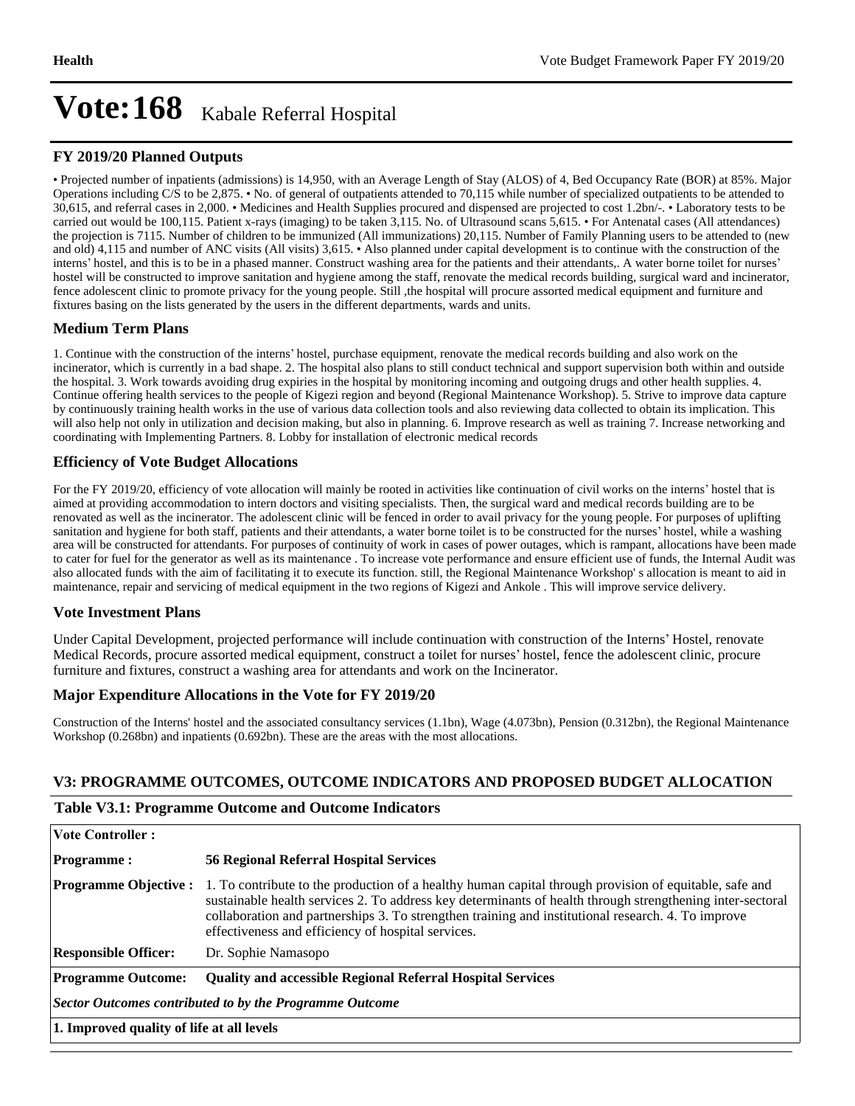#### **FY 2019/20 Planned Outputs**

Projected number of inpatients (admissions) is 14,950, with an Average Length of Stay (ALOS) of 4, Bed Occupancy Rate (BOR) at 85%. Major Operations including C/S to be 2,875.  $\cdot$  No. of general of outpatients attended to 70,115 while number of specialized outpatients to be attended to 30,615, and referral cases in 2,000. • Medicines and Health Supplies procured and dispensed are projected to cost 1.2bn/-. • Laboratory tests to be carried out would be 100,115. Patient x-rays (imaging) to be taken 3,115. No. of Ultrasound scans 5,615. • For Antenatal cases (All attendances) the projection is 7115. Number of children to be immunized (All immunizations) 20,115. Number of Family Planning users to be attended to (new and old) 4,115 and number of ANC visits (All visits) 3,615. • Also planned under capital development is to continue with the construction of the interns' hostel, and this is to be in a phased manner. Construct washing area for the patients and their attendants,. A water borne toilet for nurses' hostel will be constructed to improve sanitation and hygiene among the staff, renovate the medical records building, surgical ward and incinerator, fence adolescent clinic to promote privacy for the young people. Still ,the hospital will procure assorted medical equipment and furniture and fixtures basing on the lists generated by the users in the different departments, wards and units.

#### **Medium Term Plans**

1. Continue with the construction of the interns' hostel, purchase equipment, renovate the medical records building and also work on the incinerator, which is currently in a bad shape. 2. The hospital also plans to still conduct technical and support supervision both within and outside the hospital. 3. Work towards avoiding drug expiries in the hospital by monitoring incoming and outgoing drugs and other health supplies. 4. Continue offering health services to the people of Kigezi region and beyond (Regional Maintenance Workshop). 5. Strive to improve data capture by continuously training health works in the use of various data collection tools and also reviewing data collected to obtain its implication. This will also help not only in utilization and decision making, but also in planning. 6. Improve research as well as training 7. Increase networking and coordinating with Implementing Partners. 8. Lobby for installation of electronic medical records

#### **Efficiency of Vote Budget Allocations**

For the FY 2019/20, efficiency of vote allocation will mainly be rooted in activities like continuation of civil works on the interns' hostel that is aimed at providing accommodation to intern doctors and visiting specialists. Then, the surgical ward and medical records building are to be renovated as well as the incinerator. The adolescent clinic will be fenced in order to avail privacy for the young people. For purposes of uplifting sanitation and hygiene for both staff, patients and their attendants, a water borne toilet is to be constructed for the nurses' hostel, while a washing area will be constructed for attendants. For purposes of continuity of work in cases of power outages, which is rampant, allocations have been made to cater for fuel for the generator as well as its maintenance . To increase vote performance and ensure efficient use of funds, the Internal Audit was also allocated funds with the aim of facilitating it to execute its function. still, the Regional Maintenance Workshop' s allocation is meant to aid in maintenance, repair and servicing of medical equipment in the two regions of Kigezi and Ankole . This will improve service delivery.

#### **Vote Investment Plans**

Under Capital Development, projected performance will include continuation with construction of the Interns' Hostel, renovate Medical Records, procure assorted medical equipment, construct a toilet for nurses' hostel, fence the adolescent clinic, procure furniture and fixtures, construct a washing area for attendants and work on the Incinerator.

#### **Major Expenditure Allocations in the Vote for FY 2019/20**

Construction of the Interns' hostel and the associated consultancy services (1.1bn), Wage (4.073bn), Pension (0.312bn), the Regional Maintenance Workshop (0.268bn) and inpatients (0.692bn). These are the areas with the most allocations.

#### **V3: PROGRAMME OUTCOMES, OUTCOME INDICATORS AND PROPOSED BUDGET ALLOCATION**

#### **Table V3.1: Programme Outcome and Outcome Indicators**

| <b>Vote Controller:</b>                                                                        |                                                                                                                                                                                                                                                                                                                                                                                 |  |  |  |  |
|------------------------------------------------------------------------------------------------|---------------------------------------------------------------------------------------------------------------------------------------------------------------------------------------------------------------------------------------------------------------------------------------------------------------------------------------------------------------------------------|--|--|--|--|
| <b>Programme:</b>                                                                              | <b>56 Regional Referral Hospital Services</b>                                                                                                                                                                                                                                                                                                                                   |  |  |  |  |
| <b>Programme Objective:</b>                                                                    | 1. To contribute to the production of a healthy human capital through provision of equitable, safe and<br>sustainable health services 2. To address key determinants of health through strengthening inter-sectoral<br>collaboration and partnerships 3. To strengthen training and institutional research. 4. To improve<br>effectiveness and efficiency of hospital services. |  |  |  |  |
| <b>Responsible Officer:</b>                                                                    | Dr. Sophie Namasopo                                                                                                                                                                                                                                                                                                                                                             |  |  |  |  |
| <b>Programme Outcome:</b><br><b>Quality and accessible Regional Referral Hospital Services</b> |                                                                                                                                                                                                                                                                                                                                                                                 |  |  |  |  |
| <b>Sector Outcomes contributed to by the Programme Outcome</b>                                 |                                                                                                                                                                                                                                                                                                                                                                                 |  |  |  |  |
| 1. Improved quality of life at all levels                                                      |                                                                                                                                                                                                                                                                                                                                                                                 |  |  |  |  |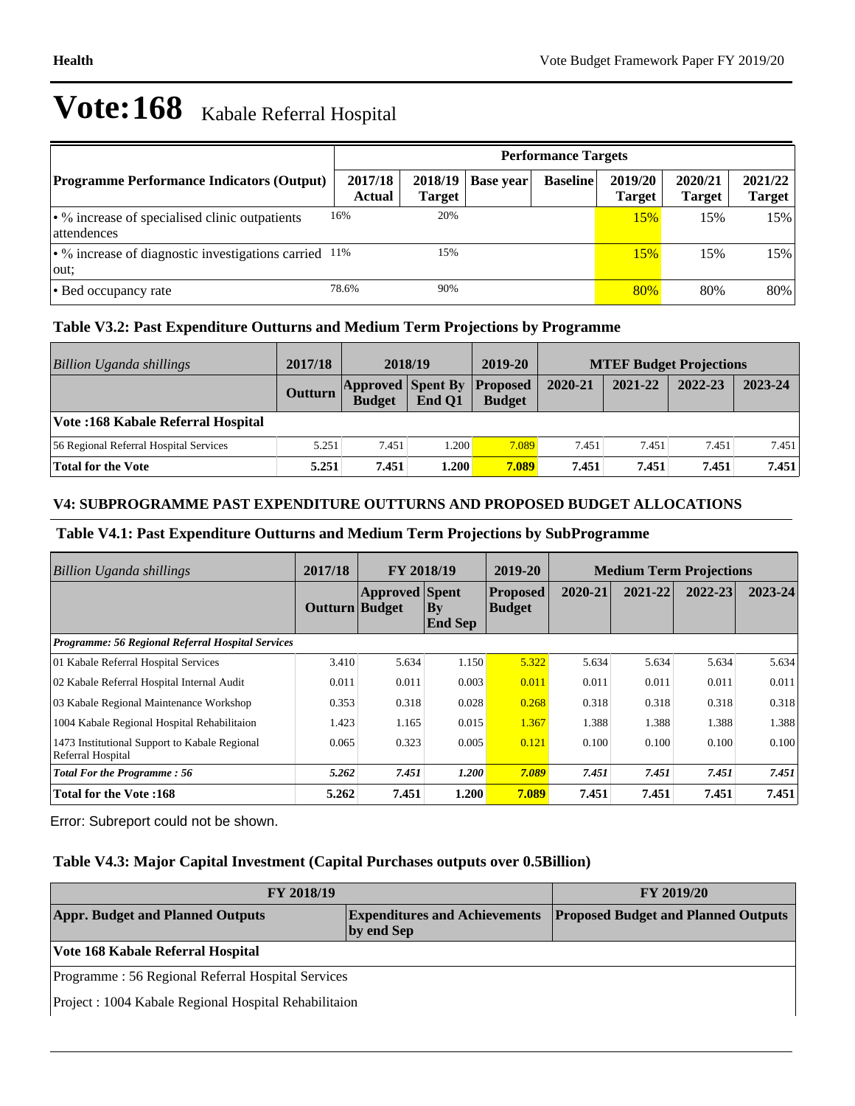|                                                                        | <b>Performance Targets</b> |                          |                  |                 |                          |                          |                   |  |
|------------------------------------------------------------------------|----------------------------|--------------------------|------------------|-----------------|--------------------------|--------------------------|-------------------|--|
| <b>Programme Performance Indicators (Output)</b>                       | 2017/18<br>Actual          | 2018/19<br><b>Target</b> | <b>Base year</b> | <b>Baseline</b> | 2019/20<br><b>Target</b> | 2020/21<br><b>Target</b> | 2021/22<br>Target |  |
| $\cdot$ % increase of specialised clinic outpatients<br>attendences    | 16%                        | 20%                      |                  |                 | 15%                      | 15%                      | 15%               |  |
| $\cdot$ % increase of diagnostic investigations carried $11\%$<br>out: |                            | 15%                      |                  |                 | 15%                      | 15%                      | 15%               |  |
| • Bed occupancy rate                                                   | 78.6%                      | 90%                      |                  |                 | 80%                      | 80%                      | 80%               |  |

#### **Table V3.2: Past Expenditure Outturns and Medium Term Projections by Programme**

| Billion Uganda shillings               | 2017/18        | 2018/19                                   |        | 2019-20                          | <b>MTEF Budget Projections</b> |         |         |         |
|----------------------------------------|----------------|-------------------------------------------|--------|----------------------------------|--------------------------------|---------|---------|---------|
|                                        | <b>Outturn</b> | <b>Approved Spent By</b><br><b>Budget</b> | End O1 | <b>Proposed</b><br><b>Budget</b> | 2020-21                        | 2021-22 | 2022-23 | 2023-24 |
| Vote: 168 Kabale Referral Hospital     |                |                                           |        |                                  |                                |         |         |         |
| 56 Regional Referral Hospital Services | 5.251          | 7.451                                     | 1.200  | 7.089                            | 7.451                          | 7.451   | 7.451   | 7.451   |
| Total for the Vote                     | 5.251          | 7.451                                     | 1.200  | 7.089                            | 7.451                          | 7.451   | 7.451   | 7.451   |

#### **V4: SUBPROGRAMME PAST EXPENDITURE OUTTURNS AND PROPOSED BUDGET ALLOCATIONS**

#### **Table V4.1: Past Expenditure Outturns and Medium Term Projections by SubProgramme**

| <b>Billion Uganda shillings</b>                                    | 2017/18               | <b>FY 2018/19</b>     |                                 | 2019-20                          | <b>Medium Term Projections</b> |         |         |             |
|--------------------------------------------------------------------|-----------------------|-----------------------|---------------------------------|----------------------------------|--------------------------------|---------|---------|-------------|
|                                                                    | <b>Outturn Budget</b> | <b>Approved</b> Spent | $\mathbf{By}$<br><b>End Sep</b> | <b>Proposed</b><br><b>Budget</b> | 2020-21                        | 2021-22 | 2022-23 | $2023 - 24$ |
| <b>Programme: 56 Regional Referral Hospital Services</b>           |                       |                       |                                 |                                  |                                |         |         |             |
| 01 Kabale Referral Hospital Services                               | 3.410                 | 5.634                 | 1.150                           | 5.322                            | 5.634                          | 5.634   | 5.634   | 5.634       |
| 02 Kabale Referral Hospital Internal Audit                         | 0.011                 | 0.011                 | 0.003                           | 0.011                            | 0.011                          | 0.011   | 0.011   | 0.011       |
| 03 Kabale Regional Maintenance Workshop                            | 0.353                 | 0.318                 | 0.028                           | 0.268                            | 0.318                          | 0.318   | 0.318   | 0.318       |
| 1004 Kabale Regional Hospital Rehabilitaion                        | 1.423                 | 1.165                 | 0.015                           | 1.367                            | 1.388                          | 1.388   | 1.388   | 1.388       |
| 1473 Institutional Support to Kabale Regional<br>Referral Hospital | 0.065                 | 0.323                 | 0.005                           | 0.121                            | 0.100                          | 0.100   | 0.100   | 0.100       |
| <b>Total For the Programme: 56</b>                                 | 5.262                 | 7.451                 | 1.200                           | 7.089                            | 7.451                          | 7.451   | 7.451   | 7.451       |
| <b>Total for the Vote:168</b>                                      | 5.262                 | 7.451                 | 1.200                           | 7.089                            | 7.451                          | 7.451   | 7.451   | 7.451       |

Error: Subreport could not be shown.

#### **Table V4.3: Major Capital Investment (Capital Purchases outputs over 0.5Billion)**

| FY 2018/19                                            | <b>FY 2019/20</b>                                  |                                            |  |  |  |
|-------------------------------------------------------|----------------------------------------------------|--------------------------------------------|--|--|--|
| <b>Appr. Budget and Planned Outputs</b>               | <b>Expenditures and Achievements</b><br>by end Sep | <b>Proposed Budget and Planned Outputs</b> |  |  |  |
| Vote 168 Kabale Referral Hospital                     |                                                    |                                            |  |  |  |
| Programme: 56 Regional Referral Hospital Services     |                                                    |                                            |  |  |  |
| Project : 1004 Kabale Regional Hospital Rehabilitaion |                                                    |                                            |  |  |  |